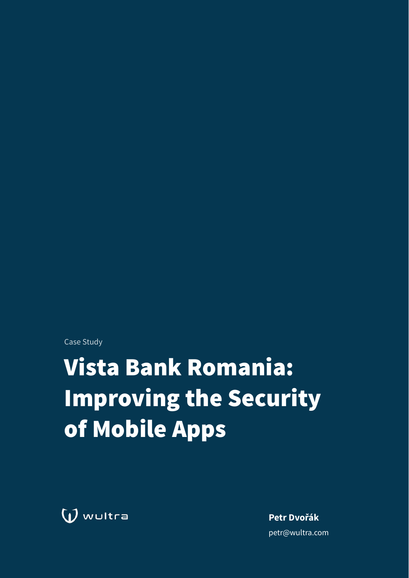Case Study

# **Vista Bank Romania: Improving the Security** of Mobile Apps

 $\bigcup$  wultra

Petr Dvořák petr@wultra.com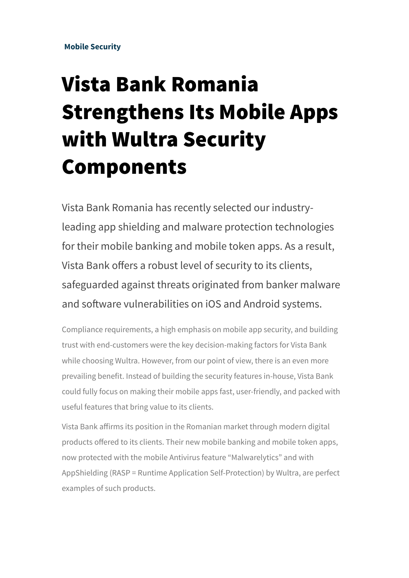#### **Mobile Security**

## Vista Bank Romania Strengthens Its Mobile Apps with Wultra Security Components

Vista Bank Romania has recently selected our industryleading app shielding and malware protection technologies for their mobile banking and mobile token apps. As a result, Vista Bank offers a robust level of security to its clients, safeguarded against threats originated from banker malware and sofware vulnerabilities on iOS and Android systems.

Compliance requirements, a high emphasis on mobile app security, and building trust with end-customers were the key decision-making factors for Vista Bank while choosing Wultra. However, from our point of view, there is an even more prevailing benefit. Instead of building the security features in-house, Vista Bank could fully focus on making their mobile apps fast, user-friendly, and packed with useful features that bring value to its clients.

Vista Bank affirms its position in the Romanian market through modern digital products offered to its clients. Their new mobile banking and mobile token apps, now protected with the mobile Antivirus feature "Malwarelytics" and with AppShielding (RASP = Runtime Application Self-Protection) by Wultra, are perfect examples of such products.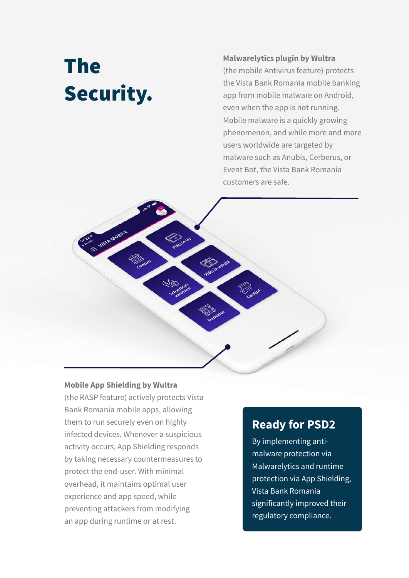## The Security.

#### **Malwarelytics plugin by Wultra**

(the mobile Antivirus feature) protects the Vista Bank Romania mobile banking app from mobile malware on Android, even when the app is not running. Mobile malware is a quickly growing phenomenon, and while more and more users worldwide are targeted by malware such as Anubis, Cerberus, or Event Bot, the Vista Bank Romania customers are safe.

#### **Mobile App Shielding by Wultra**

(the RASP feature) actively protects Vista Bank Romania mobile apps, allowing them to run securely even on highly infected devices. Whenever a suspicious activity occurs, App Shielding responds by taking necessary countermeasures to protect the end-user. With minimal overhead, it maintains optimal user experience and app speed, while preventing attackers from modifying an app during runtime or at rest.

### **Ready for PSD2**

By implementing antimalware protection via Malwarelytics and runtime protection via App Shielding, Vista Bank Romania significantly improved their regulatory compliance.